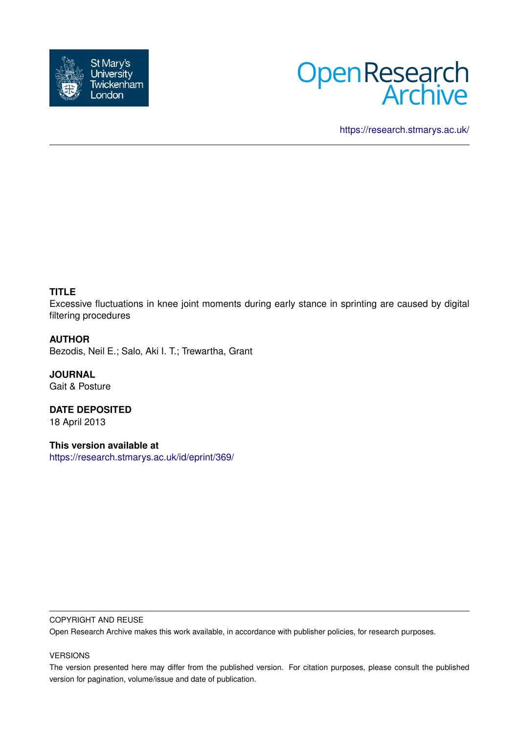



<https://research.stmarys.ac.uk/>

# **TITLE**

Excessive fluctuations in knee joint moments during early stance in sprinting are caused by digital filtering procedures

## **AUTHOR**

Bezodis, Neil E.; Salo, Aki I. T.; Trewartha, Grant

**JOURNAL** Gait & Posture

**DATE DEPOSITED** 18 April 2013

**This version available at** <https://research.stmarys.ac.uk/id/eprint/369/>

#### COPYRIGHT AND REUSE

Open Research Archive makes this work available, in accordance with publisher policies, for research purposes.

### VERSIONS

The version presented here may differ from the published version. For citation purposes, please consult the published version for pagination, volume/issue and date of publication.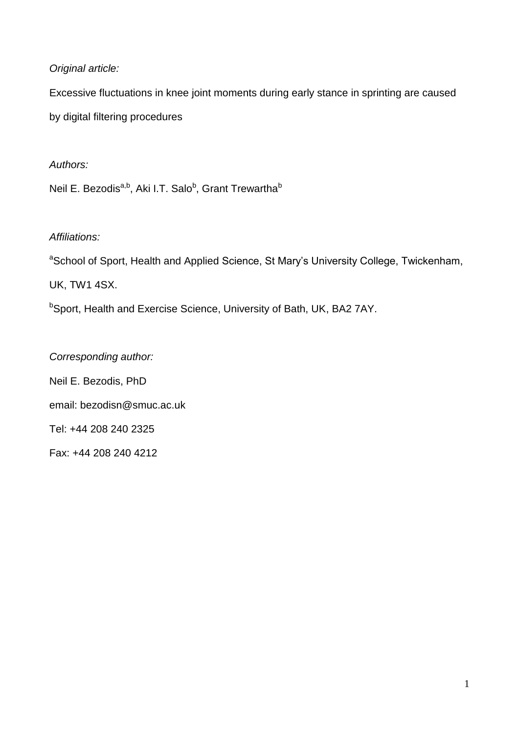# *Original article:*

Excessive fluctuations in knee joint moments during early stance in sprinting are caused by digital filtering procedures

# *Authors:*

Neil E. Bezodis<sup>a,b</sup>, Aki I.T. Salo<sup>b</sup>, Grant Trewartha<sup>b</sup>

# *Affiliations:*

<sup>a</sup>School of Sport, Health and Applied Science, St Mary's University College, Twickenham, UK, TW1 4SX.

bSport, Health and Exercise Science, University of Bath, UK, BA2 7AY.

*Corresponding author:* Neil E. Bezodis, PhD email: bezodisn@smuc.ac.uk Tel: +44 208 240 2325 Fax: +44 208 240 4212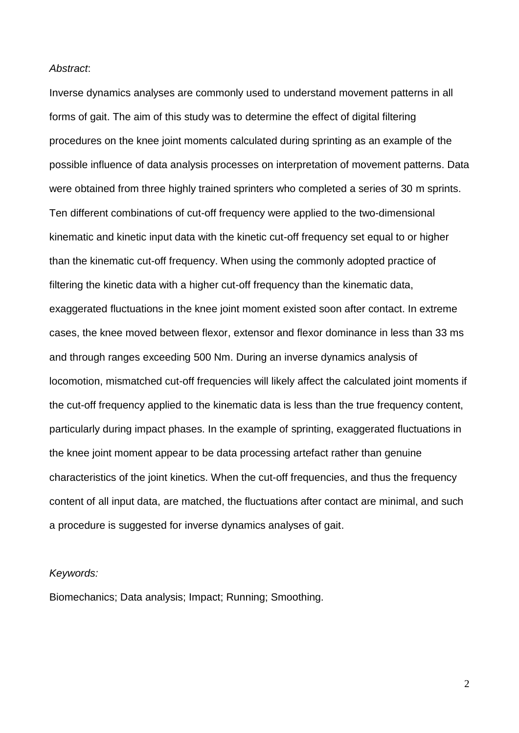### *Abstract*:

Inverse dynamics analyses are commonly used to understand movement patterns in all forms of gait. The aim of this study was to determine the effect of digital filtering procedures on the knee joint moments calculated during sprinting as an example of the possible influence of data analysis processes on interpretation of movement patterns. Data were obtained from three highly trained sprinters who completed a series of 30 m sprints. Ten different combinations of cut-off frequency were applied to the two-dimensional kinematic and kinetic input data with the kinetic cut-off frequency set equal to or higher than the kinematic cut-off frequency. When using the commonly adopted practice of filtering the kinetic data with a higher cut-off frequency than the kinematic data, exaggerated fluctuations in the knee joint moment existed soon after contact. In extreme cases, the knee moved between flexor, extensor and flexor dominance in less than 33 ms and through ranges exceeding 500 Nm. During an inverse dynamics analysis of locomotion, mismatched cut-off frequencies will likely affect the calculated joint moments if the cut-off frequency applied to the kinematic data is less than the true frequency content, particularly during impact phases. In the example of sprinting, exaggerated fluctuations in the knee joint moment appear to be data processing artefact rather than genuine characteristics of the joint kinetics. When the cut-off frequencies, and thus the frequency content of all input data, are matched, the fluctuations after contact are minimal, and such a procedure is suggested for inverse dynamics analyses of gait.

### *Keywords:*

Biomechanics; Data analysis; Impact; Running; Smoothing.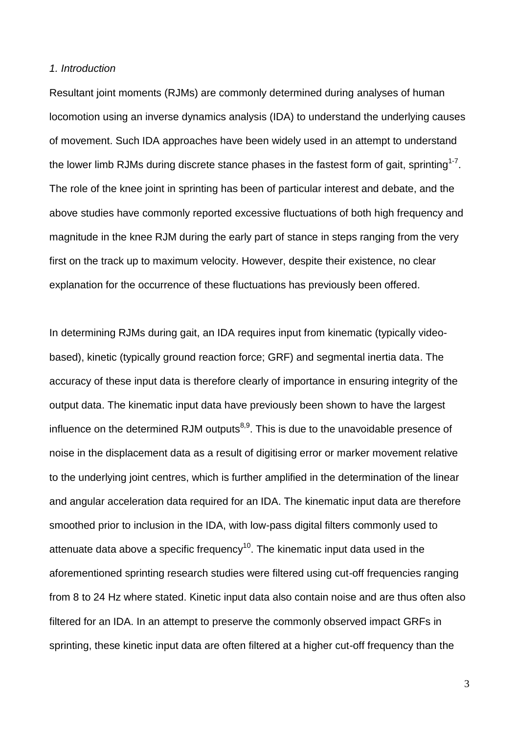#### *1. Introduction*

Resultant joint moments (RJMs) are commonly determined during analyses of human locomotion using an inverse dynamics analysis (IDA) to understand the underlying causes of movement. Such IDA approaches have been widely used in an attempt to understand the lower limb RJMs during discrete stance phases in the fastest form of gait, sprinting<sup>1-7</sup>. The role of the knee joint in sprinting has been of particular interest and debate, and the above studies have commonly reported excessive fluctuations of both high frequency and magnitude in the knee RJM during the early part of stance in steps ranging from the very first on the track up to maximum velocity. However, despite their existence, no clear explanation for the occurrence of these fluctuations has previously been offered.

In determining RJMs during gait, an IDA requires input from kinematic (typically videobased), kinetic (typically ground reaction force; GRF) and segmental inertia data. The accuracy of these input data is therefore clearly of importance in ensuring integrity of the output data. The kinematic input data have previously been shown to have the largest influence on the determined RJM outputs $8,9$ . This is due to the unavoidable presence of noise in the displacement data as a result of digitising error or marker movement relative to the underlying joint centres, which is further amplified in the determination of the linear and angular acceleration data required for an IDA. The kinematic input data are therefore smoothed prior to inclusion in the IDA, with low-pass digital filters commonly used to attenuate data above a specific frequency<sup>10</sup>. The kinematic input data used in the aforementioned sprinting research studies were filtered using cut-off frequencies ranging from 8 to 24 Hz where stated. Kinetic input data also contain noise and are thus often also filtered for an IDA. In an attempt to preserve the commonly observed impact GRFs in sprinting, these kinetic input data are often filtered at a higher cut-off frequency than the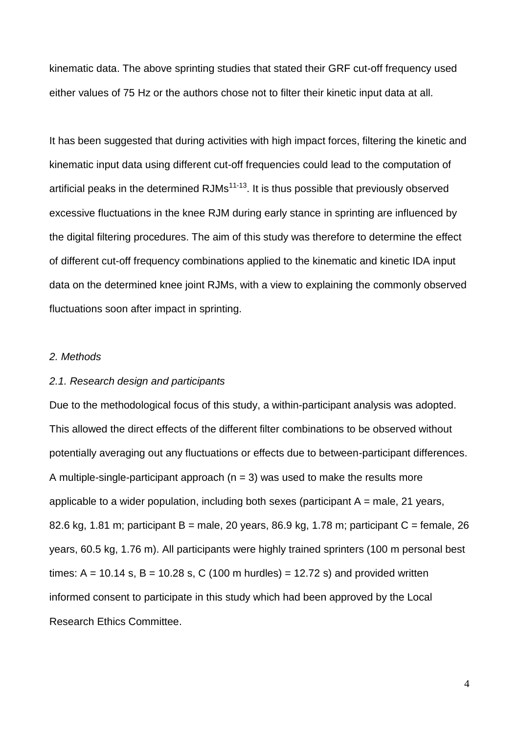kinematic data. The above sprinting studies that stated their GRF cut-off frequency used either values of 75 Hz or the authors chose not to filter their kinetic input data at all.

It has been suggested that during activities with high impact forces, filtering the kinetic and kinematic input data using different cut-off frequencies could lead to the computation of artificial peaks in the determined  $RJMs^{11-13}$ . It is thus possible that previously observed excessive fluctuations in the knee RJM during early stance in sprinting are influenced by the digital filtering procedures. The aim of this study was therefore to determine the effect of different cut-off frequency combinations applied to the kinematic and kinetic IDA input data on the determined knee joint RJMs, with a view to explaining the commonly observed fluctuations soon after impact in sprinting.

## *2. Methods*

#### *2.1. Research design and participants*

Due to the methodological focus of this study, a within-participant analysis was adopted. This allowed the direct effects of the different filter combinations to be observed without potentially averaging out any fluctuations or effects due to between-participant differences. A multiple-single-participant approach ( $n = 3$ ) was used to make the results more applicable to a wider population, including both sexes (participant  $A =$  male, 21 years, 82.6 kg, 1.81 m; participant B = male, 20 years, 86.9 kg, 1.78 m; participant C = female, 26 years, 60.5 kg, 1.76 m). All participants were highly trained sprinters (100 m personal best times:  $A = 10.14$  s,  $B = 10.28$  s, C (100 m hurdles) = 12.72 s) and provided written informed consent to participate in this study which had been approved by the Local Research Ethics Committee.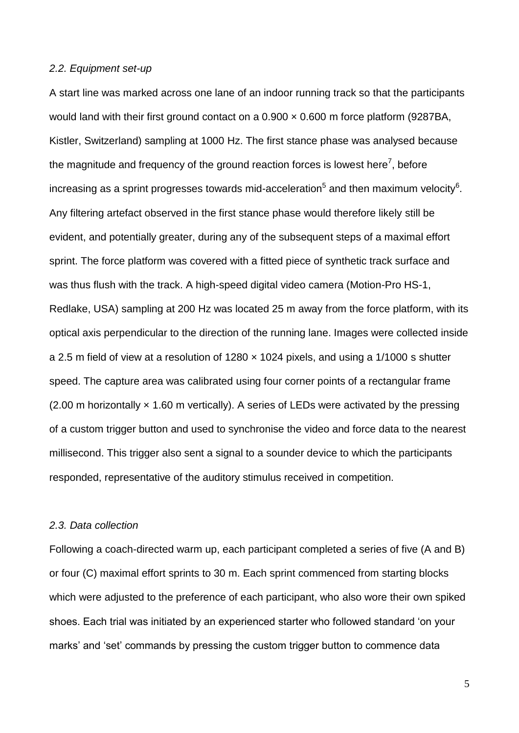#### *2.2. Equipment set-up*

A start line was marked across one lane of an indoor running track so that the participants would land with their first ground contact on a  $0.900 \times 0.600$  m force platform (9287BA, Kistler, Switzerland) sampling at 1000 Hz. The first stance phase was analysed because the magnitude and frequency of the ground reaction forces is lowest here<sup>7</sup>, before increasing as a sprint progresses towards mid-acceleration<sup>5</sup> and then maximum velocity<sup>6</sup>. Any filtering artefact observed in the first stance phase would therefore likely still be evident, and potentially greater, during any of the subsequent steps of a maximal effort sprint. The force platform was covered with a fitted piece of synthetic track surface and was thus flush with the track. A high-speed digital video camera (Motion-Pro HS-1, Redlake, USA) sampling at 200 Hz was located 25 m away from the force platform, with its optical axis perpendicular to the direction of the running lane. Images were collected inside a 2.5 m field of view at a resolution of  $1280 \times 1024$  pixels, and using a  $1/1000$  s shutter speed. The capture area was calibrated using four corner points of a rectangular frame  $(2.00 \text{ m}$  horizontally  $\times$  1.60 m vertically). A series of LEDs were activated by the pressing of a custom trigger button and used to synchronise the video and force data to the nearest millisecond. This trigger also sent a signal to a sounder device to which the participants responded, representative of the auditory stimulus received in competition.

### *2.3. Data collection*

Following a coach-directed warm up, each participant completed a series of five (A and B) or four (C) maximal effort sprints to 30 m. Each sprint commenced from starting blocks which were adjusted to the preference of each participant, who also wore their own spiked shoes. Each trial was initiated by an experienced starter who followed standard 'on your marks' and 'set' commands by pressing the custom trigger button to commence data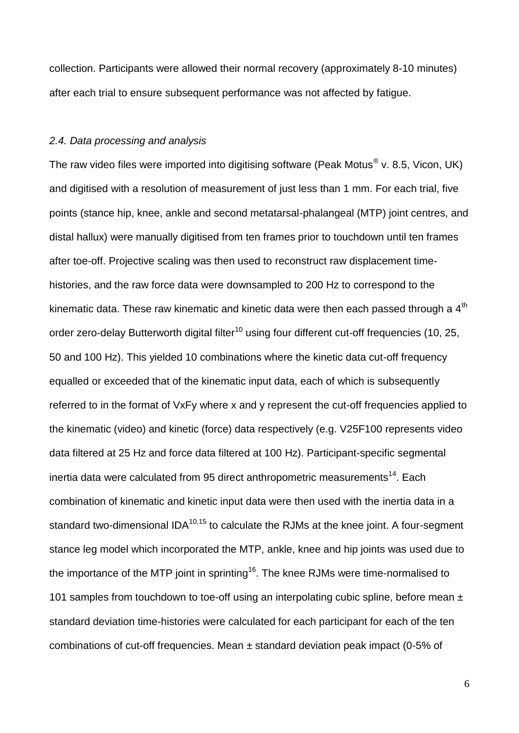collection. Participants were allowed their normal recovery (approximately 8-10 minutes) after each trial to ensure subsequent performance was not affected by fatigue.

## *2.4. Data processing and analysis*

The raw video files were imported into digitising software (Peak Motus $^{\circledR}$  v. 8.5, Vicon, UK) and digitised with a resolution of measurement of just less than 1 mm. For each trial, five points (stance hip, knee, ankle and second metatarsal-phalangeal (MTP) joint centres, and distal hallux) were manually digitised from ten frames prior to touchdown until ten frames after toe-off. Projective scaling was then used to reconstruct raw displacement timehistories, and the raw force data were downsampled to 200 Hz to correspond to the kinematic data. These raw kinematic and kinetic data were then each passed through a  $4<sup>th</sup>$ order zero-delay Butterworth digital filter<sup>10</sup> using four different cut-off frequencies (10, 25, 50 and 100 Hz). This yielded 10 combinations where the kinetic data cut-off frequency equalled or exceeded that of the kinematic input data, each of which is subsequently referred to in the format of VxFy where x and y represent the cut-off frequencies applied to the kinematic (video) and kinetic (force) data respectively (e.g. V25F100 represents video data filtered at 25 Hz and force data filtered at 100 Hz). Participant-specific segmental inertia data were calculated from 95 direct anthropometric measurements<sup>14</sup>. Each combination of kinematic and kinetic input data were then used with the inertia data in a standard two-dimensional  $IDA^{10,15}$  to calculate the RJMs at the knee joint. A four-segment stance leg model which incorporated the MTP, ankle, knee and hip joints was used due to the importance of the MTP joint in sprinting<sup>16</sup>. The knee RJMs were time-normalised to 101 samples from touchdown to toe-off using an interpolating cubic spline, before mean  $\pm$ standard deviation time-histories were calculated for each participant for each of the ten combinations of cut-off frequencies. Mean ± standard deviation peak impact (0-5% of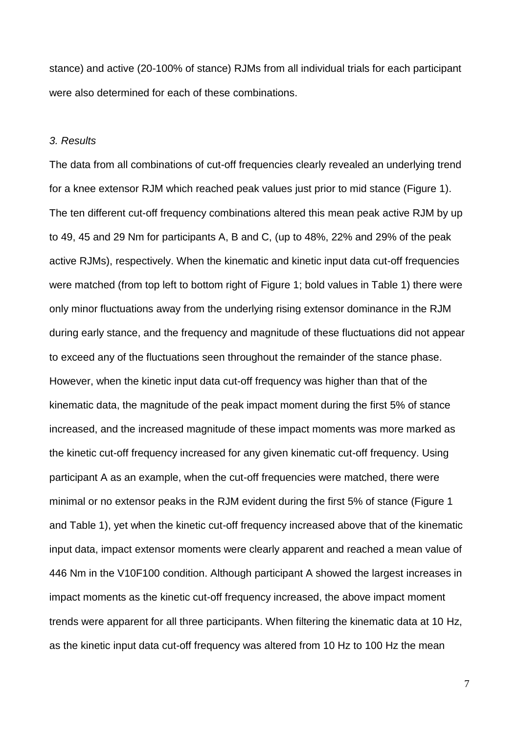stance) and active (20-100% of stance) RJMs from all individual trials for each participant were also determined for each of these combinations.

### *3. Results*

The data from all combinations of cut-off frequencies clearly revealed an underlying trend for a knee extensor RJM which reached peak values just prior to mid stance (Figure 1). The ten different cut-off frequency combinations altered this mean peak active RJM by up to 49, 45 and 29 Nm for participants A, B and C, (up to 48%, 22% and 29% of the peak active RJMs), respectively. When the kinematic and kinetic input data cut-off frequencies were matched (from top left to bottom right of Figure 1; bold values in Table 1) there were only minor fluctuations away from the underlying rising extensor dominance in the RJM during early stance, and the frequency and magnitude of these fluctuations did not appear to exceed any of the fluctuations seen throughout the remainder of the stance phase. However, when the kinetic input data cut-off frequency was higher than that of the kinematic data, the magnitude of the peak impact moment during the first 5% of stance increased, and the increased magnitude of these impact moments was more marked as the kinetic cut-off frequency increased for any given kinematic cut-off frequency. Using participant A as an example, when the cut-off frequencies were matched, there were minimal or no extensor peaks in the RJM evident during the first 5% of stance (Figure 1 and Table 1), yet when the kinetic cut-off frequency increased above that of the kinematic input data, impact extensor moments were clearly apparent and reached a mean value of 446 Nm in the V10F100 condition. Although participant A showed the largest increases in impact moments as the kinetic cut-off frequency increased, the above impact moment trends were apparent for all three participants. When filtering the kinematic data at 10 Hz, as the kinetic input data cut-off frequency was altered from 10 Hz to 100 Hz the mean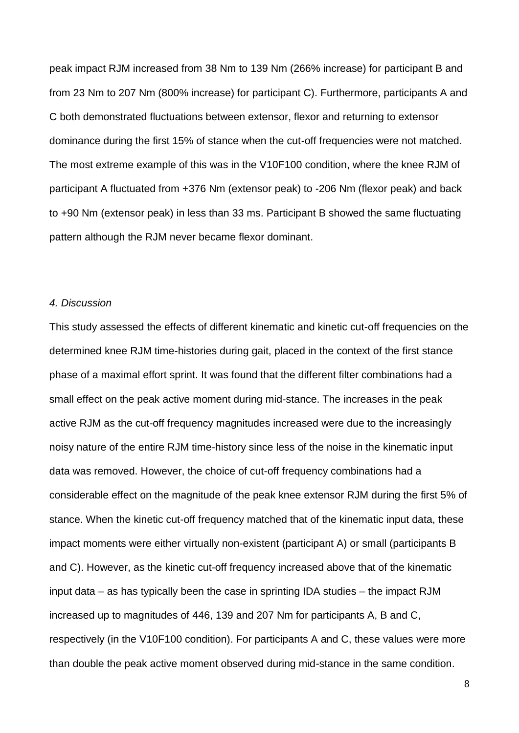peak impact RJM increased from 38 Nm to 139 Nm (266% increase) for participant B and from 23 Nm to 207 Nm (800% increase) for participant C). Furthermore, participants A and C both demonstrated fluctuations between extensor, flexor and returning to extensor dominance during the first 15% of stance when the cut-off frequencies were not matched. The most extreme example of this was in the V10F100 condition, where the knee RJM of participant A fluctuated from +376 Nm (extensor peak) to -206 Nm (flexor peak) and back to +90 Nm (extensor peak) in less than 33 ms. Participant B showed the same fluctuating pattern although the RJM never became flexor dominant.

## *4. Discussion*

This study assessed the effects of different kinematic and kinetic cut-off frequencies on the determined knee RJM time-histories during gait, placed in the context of the first stance phase of a maximal effort sprint. It was found that the different filter combinations had a small effect on the peak active moment during mid-stance. The increases in the peak active RJM as the cut-off frequency magnitudes increased were due to the increasingly noisy nature of the entire RJM time-history since less of the noise in the kinematic input data was removed. However, the choice of cut-off frequency combinations had a considerable effect on the magnitude of the peak knee extensor RJM during the first 5% of stance. When the kinetic cut-off frequency matched that of the kinematic input data, these impact moments were either virtually non-existent (participant A) or small (participants B and C). However, as the kinetic cut-off frequency increased above that of the kinematic input data – as has typically been the case in sprinting IDA studies – the impact RJM increased up to magnitudes of 446, 139 and 207 Nm for participants A, B and C, respectively (in the V10F100 condition). For participants A and C, these values were more than double the peak active moment observed during mid-stance in the same condition.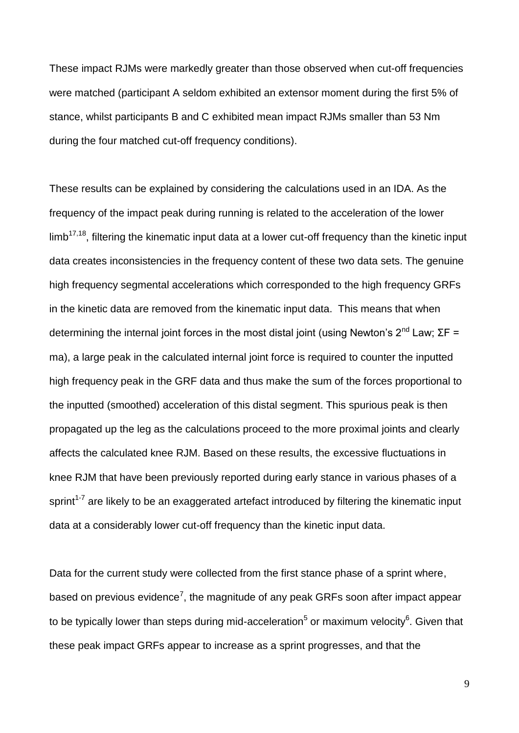These impact RJMs were markedly greater than those observed when cut-off frequencies were matched (participant A seldom exhibited an extensor moment during the first 5% of stance, whilst participants B and C exhibited mean impact RJMs smaller than 53 Nm during the four matched cut-off frequency conditions).

These results can be explained by considering the calculations used in an IDA. As the frequency of the impact peak during running is related to the acceleration of the lower  $limb<sup>17,18</sup>$ , filtering the kinematic input data at a lower cut-off frequency than the kinetic input data creates inconsistencies in the frequency content of these two data sets. The genuine high frequency segmental accelerations which corresponded to the high frequency GRFs in the kinetic data are removed from the kinematic input data. This means that when determining the internal joint forces in the most distal joint (using Newton's  $2^{nd}$  Law; ΣF = ma), a large peak in the calculated internal joint force is required to counter the inputted high frequency peak in the GRF data and thus make the sum of the forces proportional to the inputted (smoothed) acceleration of this distal segment. This spurious peak is then propagated up the leg as the calculations proceed to the more proximal joints and clearly affects the calculated knee RJM. Based on these results, the excessive fluctuations in knee RJM that have been previously reported during early stance in various phases of a sprint<sup>1-7</sup> are likely to be an exaggerated artefact introduced by filtering the kinematic input data at a considerably lower cut-off frequency than the kinetic input data.

Data for the current study were collected from the first stance phase of a sprint where, based on previous evidence<sup>7</sup>, the magnitude of any peak GRFs soon after impact appear to be typically lower than steps during mid-acceleration<sup>5</sup> or maximum velocity<sup>6</sup>. Given that these peak impact GRFs appear to increase as a sprint progresses, and that the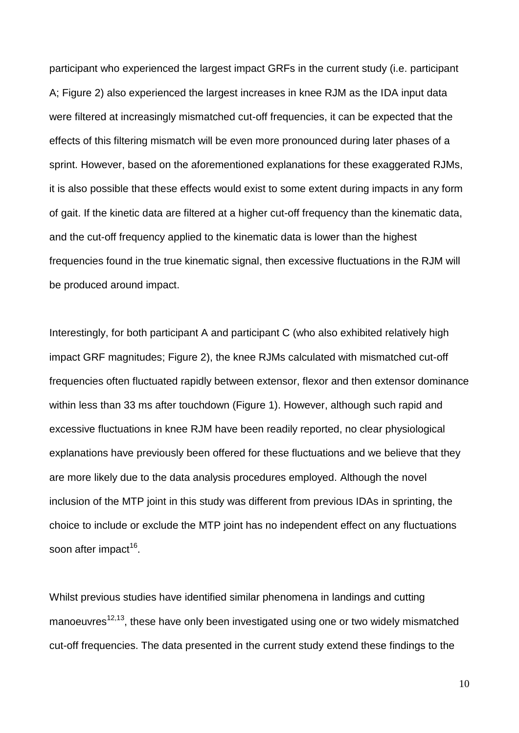participant who experienced the largest impact GRFs in the current study (i.e. participant A; Figure 2) also experienced the largest increases in knee RJM as the IDA input data were filtered at increasingly mismatched cut-off frequencies, it can be expected that the effects of this filtering mismatch will be even more pronounced during later phases of a sprint. However, based on the aforementioned explanations for these exaggerated RJMs, it is also possible that these effects would exist to some extent during impacts in any form of gait. If the kinetic data are filtered at a higher cut-off frequency than the kinematic data, and the cut-off frequency applied to the kinematic data is lower than the highest frequencies found in the true kinematic signal, then excessive fluctuations in the RJM will be produced around impact.

Interestingly, for both participant A and participant C (who also exhibited relatively high impact GRF magnitudes; Figure 2), the knee RJMs calculated with mismatched cut-off frequencies often fluctuated rapidly between extensor, flexor and then extensor dominance within less than 33 ms after touchdown (Figure 1). However, although such rapid and excessive fluctuations in knee RJM have been readily reported, no clear physiological explanations have previously been offered for these fluctuations and we believe that they are more likely due to the data analysis procedures employed. Although the novel inclusion of the MTP joint in this study was different from previous IDAs in sprinting, the choice to include or exclude the MTP joint has no independent effect on any fluctuations soon after impact<sup>16</sup>.

Whilst previous studies have identified similar phenomena in landings and cutting manoeuvres $12,13$ , these have only been investigated using one or two widely mismatched cut-off frequencies. The data presented in the current study extend these findings to the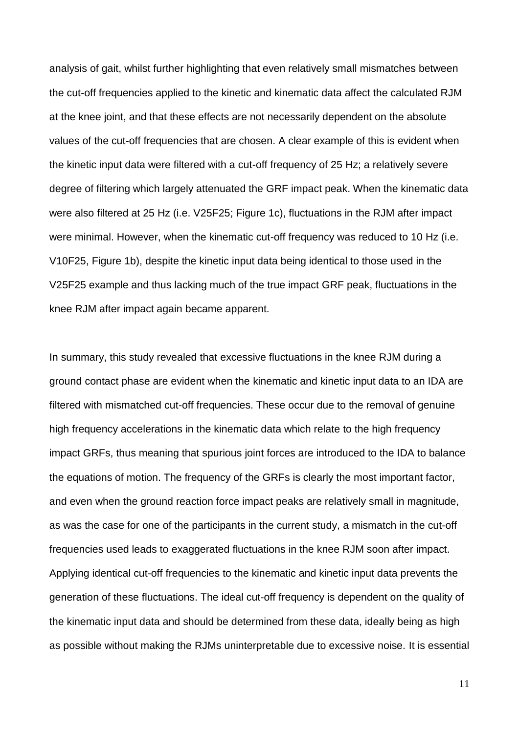analysis of gait, whilst further highlighting that even relatively small mismatches between the cut-off frequencies applied to the kinetic and kinematic data affect the calculated RJM at the knee joint, and that these effects are not necessarily dependent on the absolute values of the cut-off frequencies that are chosen. A clear example of this is evident when the kinetic input data were filtered with a cut-off frequency of 25 Hz; a relatively severe degree of filtering which largely attenuated the GRF impact peak. When the kinematic data were also filtered at 25 Hz (i.e. V25F25; Figure 1c), fluctuations in the RJM after impact were minimal. However, when the kinematic cut-off frequency was reduced to 10 Hz (i.e. V10F25, Figure 1b), despite the kinetic input data being identical to those used in the V25F25 example and thus lacking much of the true impact GRF peak, fluctuations in the knee RJM after impact again became apparent.

In summary, this study revealed that excessive fluctuations in the knee RJM during a ground contact phase are evident when the kinematic and kinetic input data to an IDA are filtered with mismatched cut-off frequencies. These occur due to the removal of genuine high frequency accelerations in the kinematic data which relate to the high frequency impact GRFs, thus meaning that spurious joint forces are introduced to the IDA to balance the equations of motion. The frequency of the GRFs is clearly the most important factor, and even when the ground reaction force impact peaks are relatively small in magnitude, as was the case for one of the participants in the current study, a mismatch in the cut-off frequencies used leads to exaggerated fluctuations in the knee RJM soon after impact. Applying identical cut-off frequencies to the kinematic and kinetic input data prevents the generation of these fluctuations. The ideal cut-off frequency is dependent on the quality of the kinematic input data and should be determined from these data, ideally being as high as possible without making the RJMs uninterpretable due to excessive noise. It is essential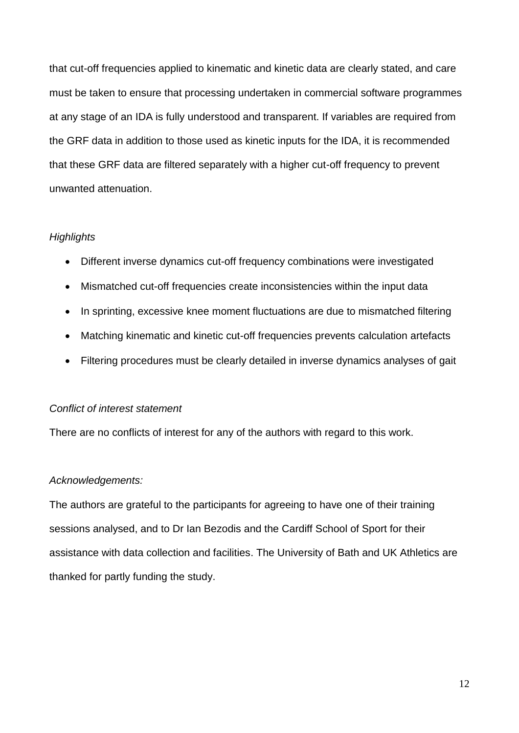that cut-off frequencies applied to kinematic and kinetic data are clearly stated, and care must be taken to ensure that processing undertaken in commercial software programmes at any stage of an IDA is fully understood and transparent. If variables are required from the GRF data in addition to those used as kinetic inputs for the IDA, it is recommended that these GRF data are filtered separately with a higher cut-off frequency to prevent unwanted attenuation.

## *Highlights*

- Different inverse dynamics cut-off frequency combinations were investigated
- Mismatched cut-off frequencies create inconsistencies within the input data
- In sprinting, excessive knee moment fluctuations are due to mismatched filtering
- Matching kinematic and kinetic cut-off frequencies prevents calculation artefacts
- Filtering procedures must be clearly detailed in inverse dynamics analyses of gait

## *Conflict of interest statement*

There are no conflicts of interest for any of the authors with regard to this work.

# *Acknowledgements:*

The authors are grateful to the participants for agreeing to have one of their training sessions analysed, and to Dr Ian Bezodis and the Cardiff School of Sport for their assistance with data collection and facilities. The University of Bath and UK Athletics are thanked for partly funding the study.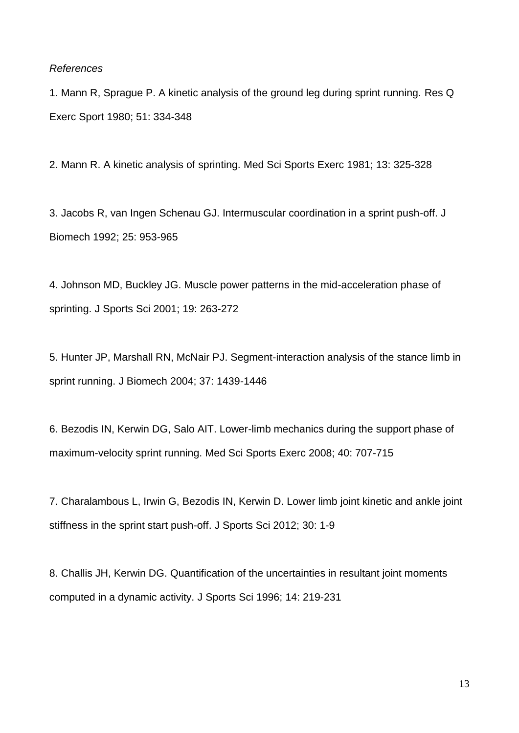#### *References*

1. Mann R, Sprague P. A kinetic analysis of the ground leg during sprint running. Res Q Exerc Sport 1980; 51: 334-348

2. Mann R. A kinetic analysis of sprinting. Med Sci Sports Exerc 1981; 13: 325-328

3. Jacobs R, van Ingen Schenau GJ. Intermuscular coordination in a sprint push-off. J Biomech 1992; 25: 953-965

4. Johnson MD, Buckley JG. Muscle power patterns in the mid-acceleration phase of sprinting. J Sports Sci 2001; 19: 263-272

5. Hunter JP, Marshall RN, McNair PJ. Segment-interaction analysis of the stance limb in sprint running. J Biomech 2004; 37: 1439-1446

6. Bezodis IN, Kerwin DG, Salo AIT. Lower-limb mechanics during the support phase of maximum-velocity sprint running. Med Sci Sports Exerc 2008; 40: 707-715

7. Charalambous L, Irwin G, Bezodis IN, Kerwin D. Lower limb joint kinetic and ankle joint stiffness in the sprint start push-off. J Sports Sci 2012; 30: 1-9

8. Challis JH, Kerwin DG. Quantification of the uncertainties in resultant joint moments computed in a dynamic activity. J Sports Sci 1996; 14: 219-231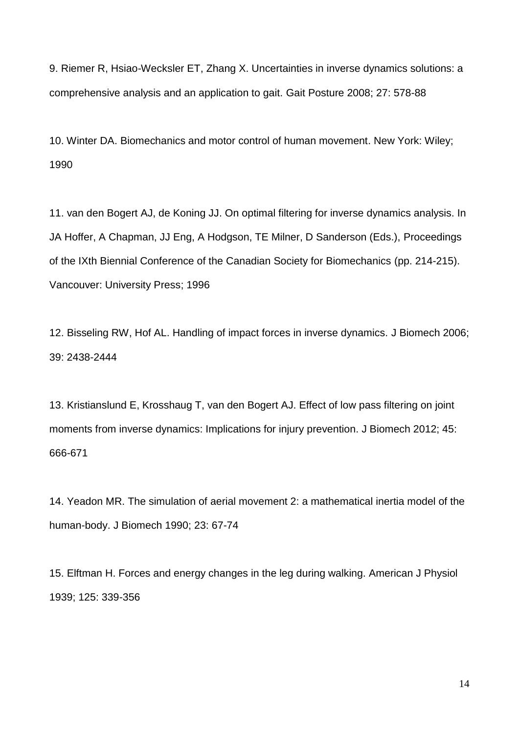9. Riemer R, Hsiao-Wecksler ET, Zhang X. Uncertainties in inverse dynamics solutions: a comprehensive analysis and an application to gait. Gait Posture 2008; 27: 578-88

10. Winter DA. Biomechanics and motor control of human movement. New York: Wiley; 1990

11. van den Bogert AJ, de Koning JJ. On optimal filtering for inverse dynamics analysis. In JA Hoffer, A Chapman, JJ Eng, A Hodgson, TE Milner, D Sanderson (Eds.), Proceedings of the IXth Biennial Conference of the Canadian Society for Biomechanics (pp. 214-215). Vancouver: University Press; 1996

12. Bisseling RW, Hof AL. Handling of impact forces in inverse dynamics. J Biomech 2006; 39: 2438-2444

13. Kristianslund E, Krosshaug T, van den Bogert AJ. Effect of low pass filtering on joint moments from inverse dynamics: Implications for injury prevention. J Biomech 2012; 45: 666-671

14. Yeadon MR. The simulation of aerial movement 2: a mathematical inertia model of the human-body. J Biomech 1990; 23: 67-74

15. Elftman H. Forces and energy changes in the leg during walking. American J Physiol 1939; 125: 339-356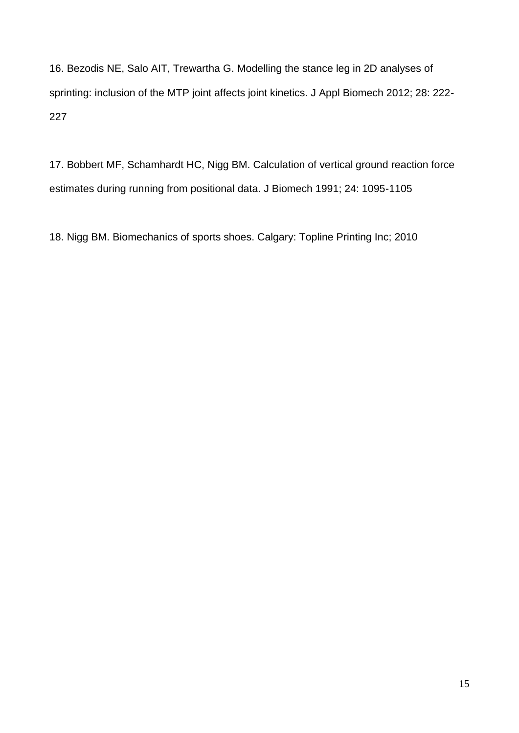16. Bezodis NE, Salo AIT, Trewartha G. Modelling the stance leg in 2D analyses of sprinting: inclusion of the MTP joint affects joint kinetics. J Appl Biomech 2012; 28: 222- 227

17. Bobbert MF, Schamhardt HC, Nigg BM. Calculation of vertical ground reaction force estimates during running from positional data. J Biomech 1991; 24: 1095-1105

18. Nigg BM. Biomechanics of sports shoes. Calgary: Topline Printing Inc; 2010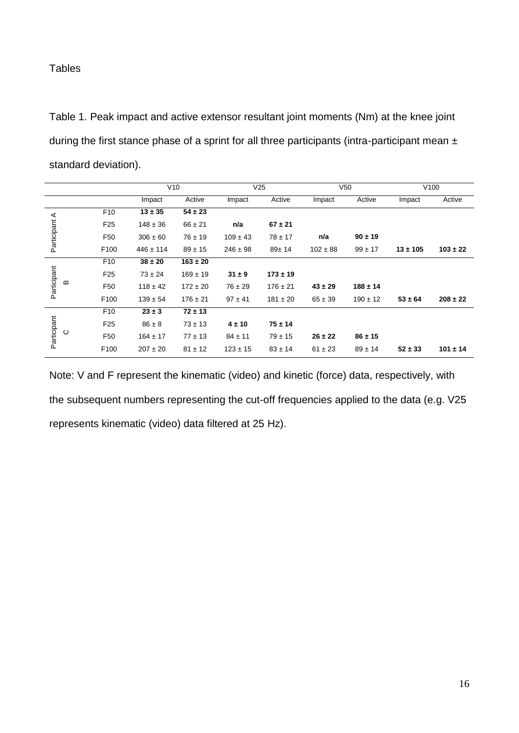## **Tables**

Table 1. Peak impact and active extensor resultant joint moments (Nm) at the knee joint during the first stance phase of a sprint for all three participants (intra-participant mean  $\pm$ standard deviation).

|               |          |                 | V10           |              | V <sub>25</sub> |              | V <sub>50</sub> |              | V <sub>100</sub> |              |
|---------------|----------|-----------------|---------------|--------------|-----------------|--------------|-----------------|--------------|------------------|--------------|
|               |          |                 | Impact        | Active       | Impact          | Active       | Impact          | Active       | Impact           | Active       |
| Participant A |          | F <sub>10</sub> | $13 \pm 35$   | $54 \pm 23$  |                 |              |                 |              |                  |              |
|               |          | F <sub>25</sub> | $148 \pm 36$  | $66 \pm 21$  | n/a             | $67 \pm 21$  |                 |              |                  |              |
|               |          | F <sub>50</sub> | $306 \pm 60$  | $76 \pm 19$  | $109 \pm 43$    | $78 \pm 17$  | n/a             | $90 \pm 19$  |                  |              |
|               |          | F100            | $446 \pm 114$ | $89 \pm 15$  | $246 \pm 98$    | $89 + 14$    | $102 \pm 88$    | $99 \pm 17$  | $13 + 105$       | $103 \pm 22$ |
| Participant   | $\bf{m}$ | F <sub>10</sub> | $38 \pm 20$   | $163 \pm 20$ |                 |              |                 |              |                  |              |
|               |          | F <sub>25</sub> | $73 \pm 24$   | $169 \pm 19$ | $31 \pm 9$      | $173 \pm 19$ |                 |              |                  |              |
|               |          | F <sub>50</sub> | $118 \pm 42$  | $172 \pm 20$ | $76 \pm 29$     | $176 \pm 21$ | $43 \pm 29$     | $188 + 14$   |                  |              |
|               |          | F100            | $139 \pm 54$  | $176 \pm 21$ | $97 \pm 41$     | $181 \pm 20$ | $65 \pm 39$     | $190 \pm 12$ | $53 \pm 64$      | $208 \pm 22$ |
| Participant   |          | F <sub>10</sub> | $23 \pm 3$    | $72 \pm 13$  |                 |              |                 |              |                  |              |
|               | $\circ$  | F <sub>25</sub> | $86 \pm 8$    | $73 \pm 13$  | $4 \pm 10$      | $75 \pm 14$  |                 |              |                  |              |
|               |          | F <sub>50</sub> | $164 \pm 17$  | $77 \pm 13$  | $84 \pm 11$     | $79 \pm 15$  | $26 \pm 22$     | $86 \pm 15$  |                  |              |
|               |          | F100            | $207 \pm 20$  | $81 \pm 12$  | $123 \pm 15$    | $83 \pm 14$  | $61 \pm 23$     | $89 \pm 14$  | $52 \pm 33$      | $101 \pm 14$ |

Note: V and F represent the kinematic (video) and kinetic (force) data, respectively, with the subsequent numbers representing the cut-off frequencies applied to the data (e.g. V25 represents kinematic (video) data filtered at 25 Hz).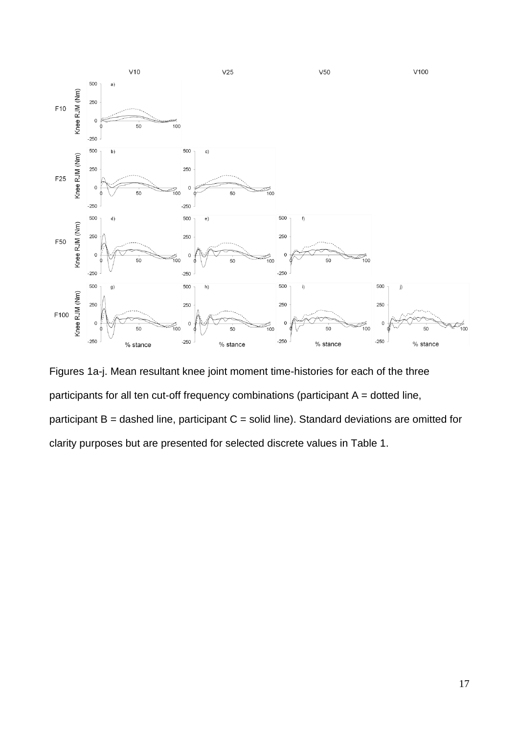